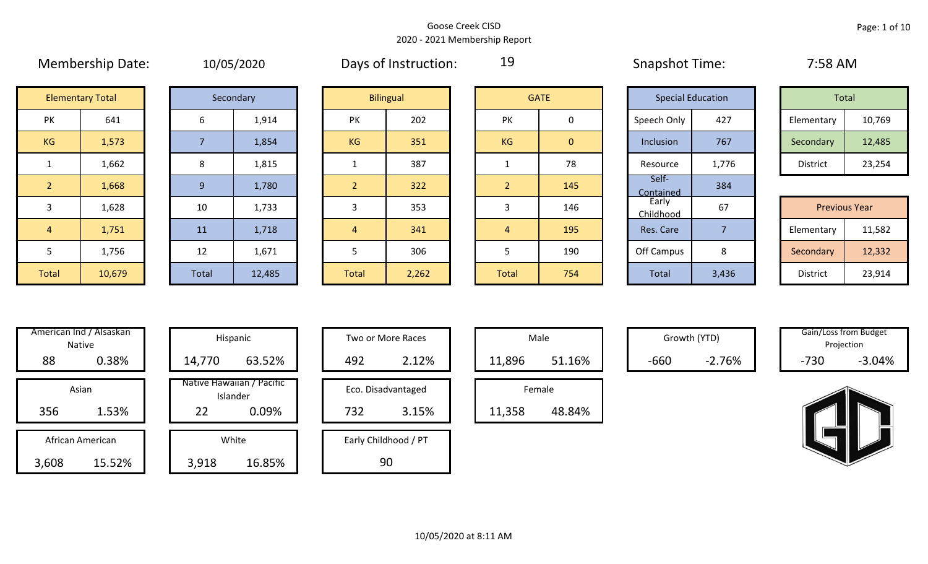|                | <b>IVICHINGIBIIID DULC.</b> |       | <b>IDIOJIZUZU</b> |                | Days OF HISTINGTION. | --             |                | <b>JUQUOLIUL</b> TIILL.  |                | $1.50$ mivi          |        |
|----------------|-----------------------------|-------|-------------------|----------------|----------------------|----------------|----------------|--------------------------|----------------|----------------------|--------|
|                | <b>Elementary Total</b>     |       | Secondary         |                | <b>Bilingual</b>     |                | <b>GATE</b>    | <b>Special Education</b> |                | Total                |        |
| PK             | 641                         | 6     | 1,914             | PK             | 202                  | <b>PK</b>      | 0              | Speech Only              | 427            | Elementary           | 10,769 |
| KG             | 1,573                       |       | 1,854             | KG             | 351                  | KG             | $\overline{0}$ | Inclusion                | 767            | Secondary            | 12,485 |
| $\mathbf{1}$   | 1,662                       | 8     | 1,815             |                | 387                  | 1              | 78             | Resource                 | 1,776          | District             | 23,254 |
| 2 <sup>2</sup> | 1,668                       | 9     | 1,780             | $\overline{2}$ | 322                  | 2 <sup>1</sup> | 145            | Self-<br>Contained       | 384            |                      |        |
| 3              | 1,628                       | 10    | 1,733             | 3              | 353                  | 3              | 146            | Early<br>Childhood       | 67             | <b>Previous Year</b> |        |
| $\overline{4}$ | 1,751                       | 11    | 1,718             | $\sqrt{4}$     | 341                  | $\overline{4}$ | 195            | Res. Care                | $\overline{7}$ | Elementary           | 11,582 |
| 5              | 1,756                       | 12    | 1,671             | 5              | 306                  |                | 190            | Off Campus               | 8              | Secondary            | 12,332 |
| Total          | 10,679                      | Total | 12,485            | <b>Total</b>   | 2,262                | Total          | 754            | Total                    | 3,436          | District             | 23,914 |

|  | 10/05/2020 |  |
|--|------------|--|
|  |            |  |

Membership Date: 10/05/2020 Snapshot Time: 7:58 AM Days of Instruction:

19

|                      | <b>Elementary Total</b> |  | Secondary |           | <b>Bilingual</b> |           | <b>GATE</b> |             | <b>Special Education</b> | Total      |        |
|----------------------|-------------------------|--|-----------|-----------|------------------|-----------|-------------|-------------|--------------------------|------------|--------|
| ∕ו ר<br>$\mathbf{v}$ | 641                     |  | 1,914     | PK        | 202              | PK        |             | Speech Only | 427                      | Elementary | 10,769 |
| G                    | 1,573                   |  | 1,854     | <b>KG</b> | 351              | <b>KG</b> | 0           | Inclusion   | 767                      | Secondary  | 12,485 |
|                      | 1,662                   |  | 1,815     |           | 387              |           | 78          | Resource    | 1,776                    | District   | 23,254 |

|                 | <b>Previous Year</b> |
|-----------------|----------------------|
| Elementary      | 11,582               |
| Secondary       | 12,332               |
| <b>District</b> | 23,914               |

|       | American Ind / Alsaskan<br><b>Native</b> |        | Hispanic                              |
|-------|------------------------------------------|--------|---------------------------------------|
| 88    | 0.38%                                    | 14,770 | 63.52%                                |
|       | Asian                                    |        | Native Hawaiian / Pacific<br>Islander |
| 356   | 1.53%                                    | 22     | 0.09%                                 |
|       |                                          |        |                                       |
|       | African American                         |        | White                                 |
| 3,608 | 15.52%                                   | 3,918  | 16.85%                                |

|      | merican Ind / Alsaskan<br>Native |        | Hispanic                              |     | Two or More Races    |        | Male   |        | Growth (YTD) |        | Gain/Loss from Budget<br>Projection |
|------|----------------------------------|--------|---------------------------------------|-----|----------------------|--------|--------|--------|--------------|--------|-------------------------------------|
| 88   | 0.38%                            | 14,770 | 63.52%                                | 492 | 2.12%                | 11,896 | 51.16% | $-660$ | $-2.76%$     | $-730$ | $-3.04%$                            |
|      | Asian                            |        | Native Hawaiian / Pacific<br>Islander |     | Eco. Disadvantaged   |        | Female |        |              |        |                                     |
| 356  | 1.53%                            | 22     | 0.09%                                 | 732 | 3.15%                | 11,358 | 48.84% |        |              |        |                                     |
|      | African American                 |        | White                                 |     | Early Childhood / PT |        |        |        |              |        |                                     |
| ,608 | 15.52%                           | 3,918  | 16.85%                                |     | 90                   |        |        |        |              |        |                                     |

| Hispanic                                |     | Two or More Races           |        | Male   |
|-----------------------------------------|-----|-----------------------------|--------|--------|
| 63.52%                                  | 492 | 2.12%                       | 11,896 |        |
| lawaiian / Pacific<br>Islander<br>0.09% | 732 | Eco. Disadvantaged<br>3.15% | 11,358 | Female |
| White                                   |     | Early Childhood / PT        |        |        |

|        | Male   |  |
|--------|--------|--|
| 11,896 | 51.16% |  |
|        | Female |  |
| 11,358 | 48.84% |  |

Growth (YTD) Gain/Loss from Budget Projection

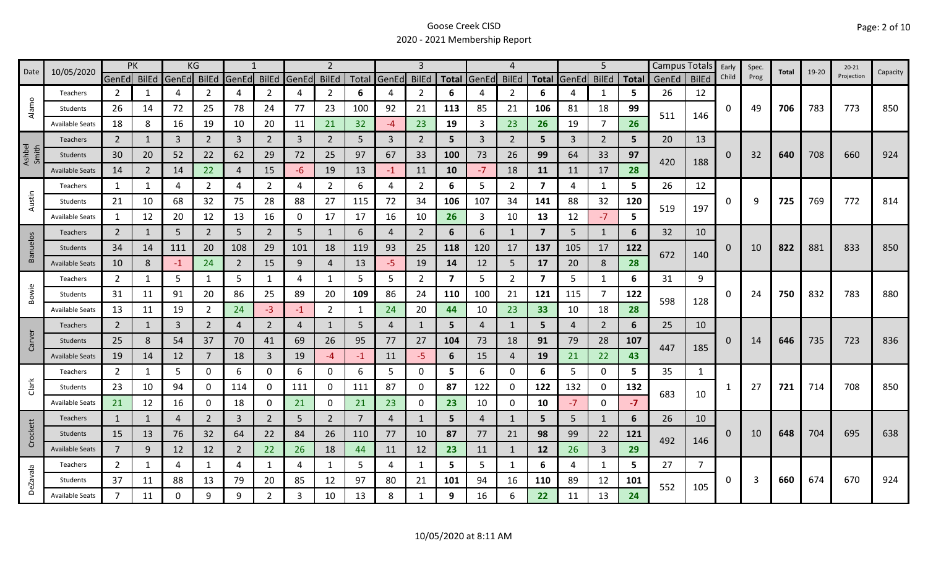| PK<br>10/05/2020<br>Date |                        | KG             |                |             |                |                | $\mathcal{P}$  |                |                | 3              |                   |                | 4                       |                |                | 5                       |       |                | Campus Totals | Early | Spec.        | Total    | $19 - 20$ | $20 - 21$ | Capacity |            |     |
|--------------------------|------------------------|----------------|----------------|-------------|----------------|----------------|----------------|----------------|----------------|----------------|-------------------|----------------|-------------------------|----------------|----------------|-------------------------|-------|----------------|---------------|-------|--------------|----------|-----------|-----------|----------|------------|-----|
|                          |                        | GenEd BilEd    |                | GenEd BilEd |                | GenEd BilEd    |                | GenEd          | <b>BilEd</b>   |                | Total GenEd BilEd |                |                         | Total GenEd    | <b>BilEd</b>   | <b>Total</b>            | GenEd | <b>BilEd</b>   | <b>Total</b>  | GenEd | <b>BilEd</b> | Child    | Prog      |           |          | Projection |     |
|                          | Teachers               | $\overline{2}$ | 1              | 4           |                | 4              | $\overline{2}$ | 4              | $\overline{2}$ | 6              | 4                 | $\overline{2}$ | 6                       | 4              | $\overline{2}$ | 6                       |       | $\mathbf{1}$   | 5             | 26    | 12           |          |           |           |          |            |     |
| Alamo                    | Students               | 26             | 14             | 72          | 25             | 78             | 24             | 77             | 23             | 100            | 92                | 21             | 113                     | 85             | 21             | 106                     | 81    | 18             | 99            |       |              | 0        | 49        | 706       | 783      | 773        | 850 |
|                          | <b>Available Seats</b> | 18             | 8              | 16          | 19             | 10             | 20             | 11             | 21             | 32             | $-4$              | 23             | 19                      | 3              | 23             | 26                      | 19    | $\overline{7}$ | 26            | 511   | 146          |          |           |           |          |            |     |
|                          | Teachers               | $\overline{2}$ | 1              | 3           | $\overline{2}$ | $\overline{3}$ | $2^{\circ}$    | $\overline{3}$ | $2^{\circ}$    | 5              | $\overline{3}$    | $\overline{2}$ | 5                       | $\overline{3}$ | $\overline{2}$ | 5.                      | 3     | $\overline{2}$ | 5.            | 20    | 13           |          |           |           |          |            |     |
| Ashbel<br>Smith          | Students               | 30             | 20             | 52          | 22             | 62             | 29             | 72             | 25             | 97             | 67                | 33             | 100                     | 73             | 26             | 99                      | 64    | 33             | 97            |       |              | 0        | 32        | 640       | 708      | 660        | 924 |
|                          | <b>Available Seats</b> | 14             | $\overline{2}$ | 14          | 22             | $\overline{4}$ | 15             | -6             | 19             | 13             | $-1$              | 11             | 10                      | $-7$           | 18             | 11                      | 11    | 17             | 28            | 420   | 188          |          |           |           |          |            |     |
|                          | Teachers               | 1              | 1              | 4           | 2              | 4              | $\overline{2}$ | 4              | $\overline{2}$ | 6              | 4                 | 2              | 6                       | 5              | $\overline{2}$ | $\overline{\mathbf{z}}$ | 4     | 1              | 5             | 26    | 12           |          |           |           |          |            |     |
| Austin                   | Students               | 21             | 10             | 68          | 32             | 75             | 28             | 88             | 27             | 115            | 72                | 34             | 106                     | 107            | 34             | 141                     | 88    | 32             | 120           |       |              | 0        | 9         | 725       | 769      | 772        | 814 |
|                          | <b>Available Seats</b> | 1              | 12             | 20          | 12             | 13             | 16             | 0              | 17             | 17             | 16                | 10             | 26                      | $\mathbf{3}$   | 10             | 13                      | 12    | $-7$           | 5             | 519   | 197          |          |           |           |          |            |     |
|                          | Teachers               | $\overline{2}$ | 1              | 5           | $2^{\circ}$    | 5              | $\overline{2}$ | 5              | $\mathbf{1}$   | 6              | $\overline{4}$    | $\overline{2}$ | 6                       | 6              | 1              | $\overline{7}$          | 5     | $\mathbf{1}$   | 6             | 32    | 10           |          |           |           |          |            |     |
| <b>Banuelos</b>          | Students               | 34             | 14             | 111         | 20             | 108            | 29             | 101            | 18             | 119            | 93                | 25             | 118                     | 120            | 17             | 137                     | 105   | 17             | 122           |       |              | 0        | 10        | 822       | 881      | 833        | 850 |
|                          | <b>Available Seats</b> | 10             | 8              | $-1$        | 24             | $\overline{2}$ | 15             | 9              | $\overline{4}$ | 13             | $-5$              | 19             | 14                      | 12             | 5              | 17                      | 20    | 8              | 28            | 672   | 140          |          |           |           |          |            |     |
|                          | Teachers               | $\overline{2}$ | 1              | 5           | 1              | 5              | $\mathbf{1}$   | 4              | $\mathbf{1}$   | 5              | 5                 | $\overline{2}$ | $\overline{\mathbf{z}}$ | 5              | $\overline{2}$ | $\overline{\mathbf{z}}$ | 5     | $\mathbf{1}$   | 6             | 31    | 9            |          |           |           |          |            |     |
| Bowie                    | Students               | 31             | 11             | 91          | 20             | 86             | 25             | 89             | 20             | 109            | 86                | 24             | 110                     | 100            | 21             | 121                     | 115   | $\overline{7}$ | 122           |       |              | 0        | 24        | 750       | 832      | 783        | 880 |
|                          | <b>Available Seats</b> | 13             | 11             | 19          | 2              | 24             | $-3$           | -1             | $\overline{2}$ | -1             | 24                | 20             | 44                      | 10             | 23             | 33                      | 10    | 18             | 28            | 598   | 128          |          |           |           |          |            |     |
|                          | Teachers               | $\overline{2}$ | 1              | 3           | $\overline{2}$ | 4              | $\overline{2}$ | 4              | $\mathbf{1}$   | 5              | 4                 | 1              | 5                       | $\overline{4}$ | 1              | 5                       | 4     | $\overline{2}$ | 6             | 25    | 10           |          |           |           |          |            |     |
| Carver                   | Students               | 25             | 8              | 54          | 37             | 70             | 41             | 69             | 26             | 95             | 77                | 27             | 104                     | 73             | 18             | 91                      | 79    | 28             | 107           |       |              | 0        | 14        | 646       | 735      | 723        | 836 |
|                          | <b>Available Seats</b> | 19             | 14             | 12          | $\overline{7}$ | 18             | $\mathbf{3}$   | 19             | $-4$           | -1             | 11                | $-5$           | 6                       | 15             | $\overline{4}$ | 19                      | 21    | 22             | 43            | 447   | 185          |          |           |           |          |            |     |
|                          | Teachers               | $\overline{2}$ | 1              | 5           | 0              | 6              | 0              | 6              | $\mathbf 0$    | 6              | 5                 | 0              | 5                       | 6              | 0              | 6                       | 5     | $\mathbf 0$    | 5             | 35    | $\mathbf{1}$ |          |           |           |          |            |     |
| Clark                    | Students               | 23             | 10             | 94          | 0              | 114            | 0              | 111            | 0              | 111            | 87                | 0              | 87                      | 122            | 0              | 122                     | 132   | 0              | 132           |       |              |          | 27        | 721       | 714      | 708        | 850 |
|                          | <b>Available Seats</b> | 21             | 12             | 16          | $\mathbf 0$    | 18             | 0              | 21             | $\mathbf 0$    | 21             | 23                | 0              | 23                      | 10             | 0              | 10                      | $-7$  | $\mathbf 0$    | $-7$          | 683   | 10           |          |           |           |          |            |     |
|                          | Teachers               | $\mathbf{1}$   | 1              | 4           | $\overline{2}$ | $\overline{3}$ | $\overline{2}$ | 5              | $\overline{2}$ | $\overline{7}$ | $\overline{4}$    | 1              | 5                       | $\overline{4}$ | $\mathbf{1}$   | 5                       | 5     | $\mathbf{1}$   | 6             | 26    | 10           |          |           |           |          |            |     |
| Crockett                 | Students               | 15             | 13             | 76          | 32             | 64             | 22             | 84             | 26             | 110            | 77                | 10             | 87                      | 77             | 21             | 98                      | 99    | 22             | 121           |       |              | $\Omega$ | 10        | 648       | 704      | 695        | 638 |
|                          | <b>Available Seats</b> | $\overline{7}$ | 9              | 12          | 12             | $\overline{2}$ | 22             | 26             | 18             | 44             | 11                | 12             | 23                      | 11             | $\mathbf{1}$   | 12                      | 26    | $\overline{3}$ | 29            | 492   | 146          |          |           |           |          |            |     |
|                          | Teachers               | $\overline{2}$ | $\mathbf{1}$   | 4           |                | $\overline{4}$ | 1              | 4              | $\mathbf{1}$   | 5              | 4                 | 1              | 5                       | 5              | $\mathbf{1}$   | 6                       | 4     | $\mathbf{1}$   | 5.            | 27    | 7            |          |           |           |          |            |     |
| <b>DeZavala</b>          | Students               | 37             | 11             | 88          | 13             | 79             | 20             | 85             | 12             | 97             | 80                | 21             | 101                     | 94             | 16             | 110                     | 89    | 12             | 101           |       |              | 0        | 3         | 660       | 674      | 670        | 924 |
|                          | Available Seats        | $\overline{7}$ | 11             | 0           | 9              | 9              | $\overline{2}$ | 3              | 10             | 13             | 8                 |                | 9                       | 16             | 6              | 22                      | 11    | 13             | 24            | 552   | 105          |          |           |           |          |            |     |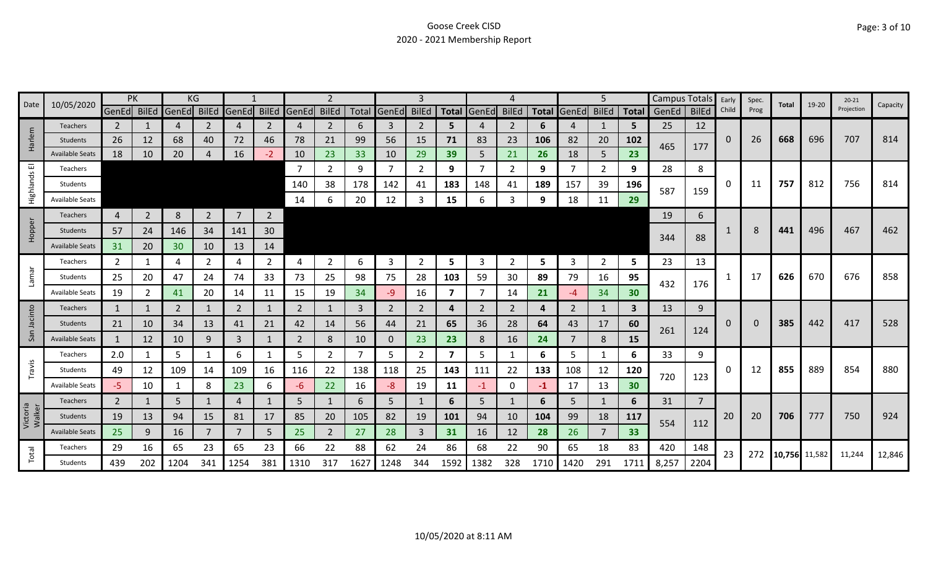| Date               | 10/05/2020             |                | PK             |              | ΚG             |                |                 |                |                |      |                | 3              |                         |                |                |      |                   | 5              |      | Campus Totals |                | Early | Spec. | Total         | 19-20 | $20 - 21$  | Capacity |
|--------------------|------------------------|----------------|----------------|--------------|----------------|----------------|-----------------|----------------|----------------|------|----------------|----------------|-------------------------|----------------|----------------|------|-------------------|----------------|------|---------------|----------------|-------|-------|---------------|-------|------------|----------|
|                    |                        | GenEd BilEd    |                | <b>GenEd</b> | BilEd          | GenEd          | <b>BilEd</b>    | GenEd          | <b>BilEd</b>   |      | Total GenEd    | <b>BilEd</b>   |                         | Total GenEd    | <b>BilEd</b>   |      | Total GenEd BilEd |                |      | Total GenEd   | <b>BilEd</b>   | Child | Prog  |               |       | Projection |          |
|                    | Teachers               | $\overline{2}$ |                | 4            | 2              | 4              | 2               | 4              | $\overline{2}$ | 6    | 3              | 2              | 5                       |                | $\overline{2}$ | 6    | 4                 | 1              | 5    | 25            | 12             |       |       |               |       |            |          |
| Harlem             | Students               | 26             | 12             | 68           | 40             | 72             | 46              | 78             | 21             | 99   | 56             | 15             | 71                      | 83             | 23             | 106  | 82                | 20             | 102  | 465           | 177            | 0     | 26    | 668           | 696   | 707        | 814      |
|                    | <b>Available Seats</b> | 18             | 10             | 20           |                | 16             | $-2$            | 10             | 23             | 33   | 10             | 29             | 39                      | 5              | 21             | 26   | 18                | 5              | 23   |               |                |       |       |               |       |            |          |
| 画                  | Teachers               |                |                |              |                |                |                 |                | $\overline{2}$ | 9    | $\overline{7}$ | 2              | 9                       |                | 2              | 9    | 7                 | $\overline{2}$ | 9    | 28            | 8              |       |       |               |       |            |          |
| Highlands          | Students               |                |                |              |                |                |                 | 140            | 38             | 178  | 142            | 41             | 183                     | 148            | 41             | 189  | 157               | 39             | 196  | 587           | 159            | 0     | 11    | 757           | 812   | 756        | 814      |
|                    | <b>Available Seats</b> |                |                |              |                |                |                 | - 14           | 6              | 20   | 12             | 3              | 15                      | 6              | 3              | 9    | 18                | 11             | 29   |               |                |       |       |               |       |            |          |
|                    | Teachers               | 4              | $\overline{2}$ | 8            | $\overline{2}$ | $\overline{7}$ | $2\overline{ }$ |                |                |      |                |                |                         |                |                |      |                   |                |      | 19            | 6              |       |       |               |       |            |          |
| Hopper             | Students               | 57             | 24             | 146          | 34             | 141            | 30              |                |                |      |                |                |                         |                |                |      |                   |                |      | 344           |                |       | 8     | 441           | 496   | 467        | 462      |
|                    | <b>Available Seats</b> | 31             | 20             | 30           | 10             | 13             | 14              |                |                |      |                |                |                         |                |                |      |                   |                |      |               | 88             |       |       |               |       |            |          |
|                    | Teachers               | $\mathbf{2}$   | 1              | 4            | 2              | 4              | $\mathbf{2}$    | 4              | 2              | 6    | 3              | $\overline{2}$ | 5                       | 3              | 2              | 5    | 3                 | $\overline{2}$ | 5    | 23            | 13             |       |       |               |       |            |          |
| Lamar              | Students               | 25             | 20             | 47           | 24             | 74             | 33              | 73             | 25             | 98   | 75             | 28             | 103                     | 59             | 30             | 89   | 79                | 16             | 95   |               |                | -1    | 17    | 626           | 670   | 676        | 858      |
|                    | <b>Available Seats</b> | 19             | $\overline{2}$ | 41           | 20             | 14             | 11              | 15             | 19             | 34   | -9             | 16             | 7                       |                | 14             | 21   | -4                | 34             | 30   | 432           | 176            |       |       |               |       |            |          |
|                    | <b>Teachers</b>        | $\mathbf{1}$   | 1              | 2            |                | $\overline{2}$ | 1               | 2              | $\mathbf{1}$   | 3    | $\overline{2}$ | $\overline{2}$ | 4                       | $\overline{2}$ | $\overline{2}$ | 4    | $\overline{2}$    | 1              | 3    | 13            | 9              |       |       |               |       |            |          |
| Jacinto            | <b>Students</b>        | 21             | 10             | 34           | 13             | 41             | 21              | 42             | 14             | 56   | 44             | 21             | 65                      | 36             | 28             | 64   | 43                | 17             | 60   |               |                | 0     | 0     | 385           | 442   | 417        | 528      |
| San                | <b>Available Seats</b> | 1              | 12             | 10           | 9              | $\overline{3}$ |                 | $\overline{2}$ | $\bf 8$        | 10   | $\mathbf 0$    | 23             | 23                      | 8              | 16             | 24   | 7                 | 8              | 15   | 261           | 124            |       |       |               |       |            |          |
|                    | Teachers               | 2.0            |                | 5            |                | 6              | $\mathbf 1$     | 5              | $\overline{2}$ |      | 5              | 2              | $\overline{\mathbf{z}}$ | 5              |                | 6    | 5                 | 1              | 6    | 33            | 9              |       |       |               |       |            |          |
| Travis             | Students               | 49             | 12             | 109          | 14             | 109            | 16              | 116            | 22             | 138  | 118            | 25             | 143                     | 111            | 22             | 133  | 108               | 12             | 120  |               |                | 0     | 12    | 855           | 889   | 854        | 880      |
|                    | <b>Available Seats</b> | -5             | 10             | 1            | 8              | 23             | 6               | -6             | 22             | 16   | -8             | 19             | 11                      | $-1$           | $\mathbf 0$    | -1   | 17                | 13             | 30   | 720           | 123            |       |       |               |       |            |          |
|                    | <b>Teachers</b>        | $\overline{2}$ |                | 5            |                | 4              |                 | 5              | 1              | 6    | 5              |                | 6                       | 5              |                | 6    | 5                 |                | 6    | 31            | $\overline{7}$ |       |       |               |       |            |          |
| Victoria<br>Walker | Students               | 19             | 13             | 94           | 15             | 81             | 17              | 85             | 20             | 105  | 82             | 19             | 101                     | 94             | 10             | 104  | 99                | 18             | 117  | 554           | 112            | 20    | 20    | 706           | 777   | 750        | 924      |
|                    | <b>Available Seats</b> | 25             | 9              | 16           |                |                | 5               | 25             | $\overline{2}$ | 27   | 28             | 3              | 31                      | 16             | 12             | 28   | 26                |                | 33   |               |                |       |       |               |       |            |          |
| Total              | Teachers               | 29             | 16             | 65           | 23             | 65             | 23              | 66             | 22             | 88   | 62             | 24             | 86                      | 68             | 22             | 90   | 65                | 18             | 83   | 420           | 148            | 23    | 272   | 10,756 11,582 |       | 11,244     | 12,846   |
|                    | Students               | 439            | 202            | 1204         | 341            | 1254           | 381             | 1310           | 317            | 1627 | 1248           | 344            | 1592                    | 1382           | 328            | 1710 | 1420              | 291            | 1711 | 8,257         | 2204           |       |       |               |       |            |          |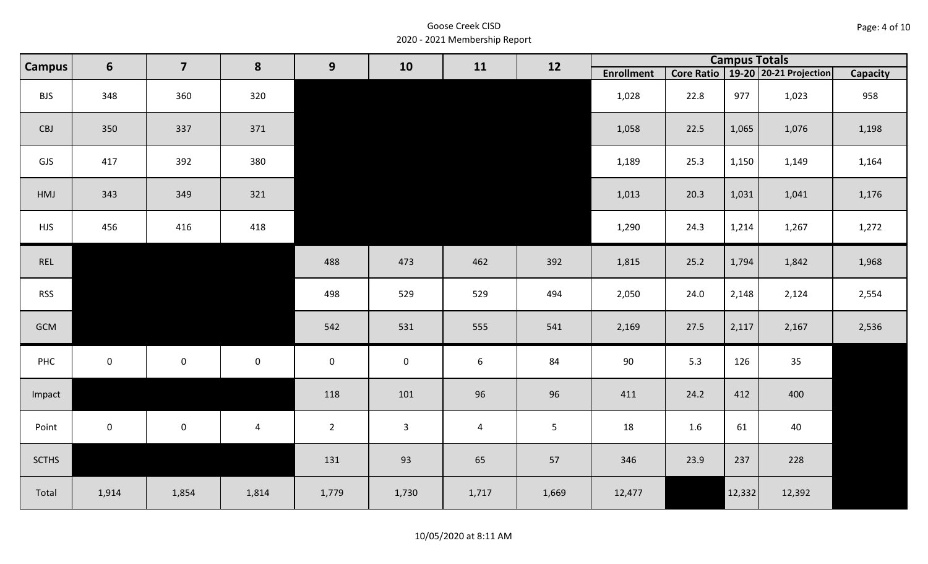#### 10/05/2020 at 8:11 AM

| <b>Campus</b> | $6\phantom{1}$ | $\overline{\mathbf{z}}$ | 8              | $\mathbf{9}$   | 10                  | 11    | 12             |                   |      | <b>Campus Totals</b> |                                       |                 |
|---------------|----------------|-------------------------|----------------|----------------|---------------------|-------|----------------|-------------------|------|----------------------|---------------------------------------|-----------------|
|               |                |                         |                |                |                     |       |                | <b>Enrollment</b> |      |                      | Core Ratio   19-20   20-21 Projection | <b>Capacity</b> |
| <b>BJS</b>    | 348            | 360                     | 320            |                |                     |       |                | 1,028             | 22.8 | 977                  | 1,023                                 | 958             |
| CBJ           | 350            | 337                     | 371            |                |                     |       |                | 1,058             | 22.5 | 1,065                | 1,076                                 | 1,198           |
| GJS           | 417            | 392                     | 380            |                |                     |       |                | 1,189             | 25.3 | 1,150                | 1,149                                 | 1,164           |
| HMJ           | 343            | 349                     | 321            |                |                     |       |                | 1,013             | 20.3 | 1,031                | 1,041                                 | 1,176           |
| <b>HJS</b>    | 456            | 416                     | 418            |                |                     |       |                | 1,290             | 24.3 | 1,214                | 1,267                                 | 1,272           |
| REL           |                |                         |                | 488            | 473                 | 462   | 392            | 1,815             | 25.2 | 1,794                | 1,842                                 | 1,968           |
| <b>RSS</b>    |                |                         |                | 498            | 529                 | 529   | 494            | 2,050             | 24.0 | 2,148                | 2,124                                 | 2,554           |
| GCM           |                |                         |                | 542            | 531                 | 555   | 541            | 2,169             | 27.5 | 2,117                | 2,167                                 | 2,536           |
| PHC           | $\mathbf 0$    | $\mathsf 0$             | $\mathbf 0$    | $\pmb{0}$      | $\mathsf{O}\xspace$ | 6     | 84             | 90                | 5.3  | 126                  | 35                                    |                 |
| Impact        |                |                         |                | 118            | 101                 | 96    | 96             | 411               | 24.2 | 412                  | 400                                   |                 |
| Point         | $\mathbf 0$    | $\mathbf 0$             | $\overline{4}$ | $\overline{2}$ | $\mathbf{3}$        | 4     | $5\phantom{.}$ | 18                | 1.6  | 61                   | 40                                    |                 |
| <b>SCTHS</b>  |                |                         |                | 131            | 93                  | 65    | 57             | 346               | 23.9 | 237                  | 228                                   |                 |
| Total         | 1,914          | 1,854                   | 1,814          | 1,779          | 1,730               | 1,717 | 1,669          | 12,477            |      | 12,332               | 12,392                                |                 |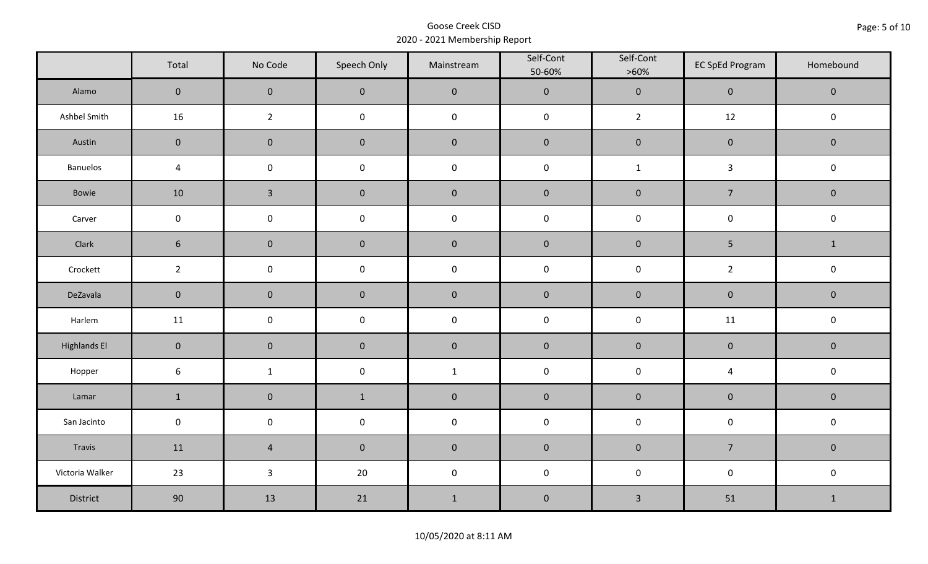|                     | Total            | No Code        | Speech Only | Mainstream   | Self-Cont<br>50-60% | Self-Cont<br>$>60\%$ | <b>EC SpEd Program</b> | Homebound      |
|---------------------|------------------|----------------|-------------|--------------|---------------------|----------------------|------------------------|----------------|
| Alamo               | $\mathbf 0$      | $\pmb{0}$      | $\pmb{0}$   | $\pmb{0}$    | $\pmb{0}$           | $\mathbf 0$          | $\mathbf 0$            | $\mathbf 0$    |
| Ashbel Smith        | 16               | $\overline{2}$ | $\pmb{0}$   | $\mathbf 0$  | $\mathbf 0$         | $\overline{2}$       | 12                     | $\mathbf 0$    |
| Austin              | $\overline{0}$   | $\pmb{0}$      | $\pmb{0}$   | $\pmb{0}$    | $\pmb{0}$           | $\pmb{0}$            | $\mathbf 0$            | $\mathbf 0$    |
| Banuelos            | $\overline{4}$   | $\pmb{0}$      | $\pmb{0}$   | $\mathbf 0$  | $\mathbf 0$         | $\mathbf{1}$         | $\mathbf{3}$           | $\mathbf 0$    |
| Bowie               | 10               | $\overline{3}$ | $\pmb{0}$   | $\pmb{0}$    | $\pmb{0}$           | $\mathbf 0$          | $\overline{7}$         | $\mathbf 0$    |
| Carver              | $\mathbf 0$      | $\pmb{0}$      | $\pmb{0}$   | $\mathbf 0$  | $\pmb{0}$           | $\mathbf 0$          | $\mathsf{O}\xspace$    | $\mathsf 0$    |
| Clark               | $\boldsymbol{6}$ | $\pmb{0}$      | $\pmb{0}$   | $\pmb{0}$    | $\pmb{0}$           | $\mathbf 0$          | 5                      | $\mathbf{1}$   |
| Crockett            | $\overline{2}$   | $\pmb{0}$      | $\pmb{0}$   | $\mathsf 0$  | $\mathbf 0$         | $\pmb{0}$            | $\overline{2}$         | $\mathbf 0$    |
| DeZavala            | $\mathbf 0$      | $\pmb{0}$      | $\pmb{0}$   | $\pmb{0}$    | $\pmb{0}$           | $\pmb{0}$            | $\mathbf 0$            | $\mathbf 0$    |
| Harlem              | 11               | $\pmb{0}$      | $\pmb{0}$   | $\mathbf 0$  | $\mathbf 0$         | $\pmb{0}$            | 11                     | $\mathbf 0$    |
| <b>Highlands El</b> | $\mathbf 0$      | $\pmb{0}$      | $\pmb{0}$   | $\pmb{0}$    | $\pmb{0}$           | $\mathbf 0$          | $\mathbf 0$            | $\mathbf 0$    |
| Hopper              | $\boldsymbol{6}$ | $\mathbf{1}$   | $\pmb{0}$   | $\mathbf{1}$ | $\mathsf 0$         | $\mathbf 0$          | $\overline{4}$         | $\mathbf 0$    |
| Lamar               | $\mathbf 1$      | $\pmb{0}$      | $\mathbf 1$ | $\pmb{0}$    | $\pmb{0}$           | $\pmb{0}$            | $\pmb{0}$              | $\mathbf 0$    |
| San Jacinto         | $\pmb{0}$        | $\pmb{0}$      | $\pmb{0}$   | $\mathbf 0$  | $\mathbf 0$         | $\mathbf 0$          | $\mathsf 0$            | $\mathsf 0$    |
| Travis              | 11               | $\overline{4}$ | $\pmb{0}$   | $\pmb{0}$    | $\pmb{0}$           | $\pmb{0}$            | $\overline{7}$         | $\overline{0}$ |
| Victoria Walker     | 23               | $\mathbf{3}$   | 20          | $\mathbf 0$  | $\mathbf 0$         | $\pmb{0}$            | $\mathsf{O}\xspace$    | $\mathbf 0$    |
| District            | 90               | 13             | 21          | $\mathbf{1}$ | $\pmb{0}$           | $\mathbf{3}$         | 51                     | $\mathbf{1}$   |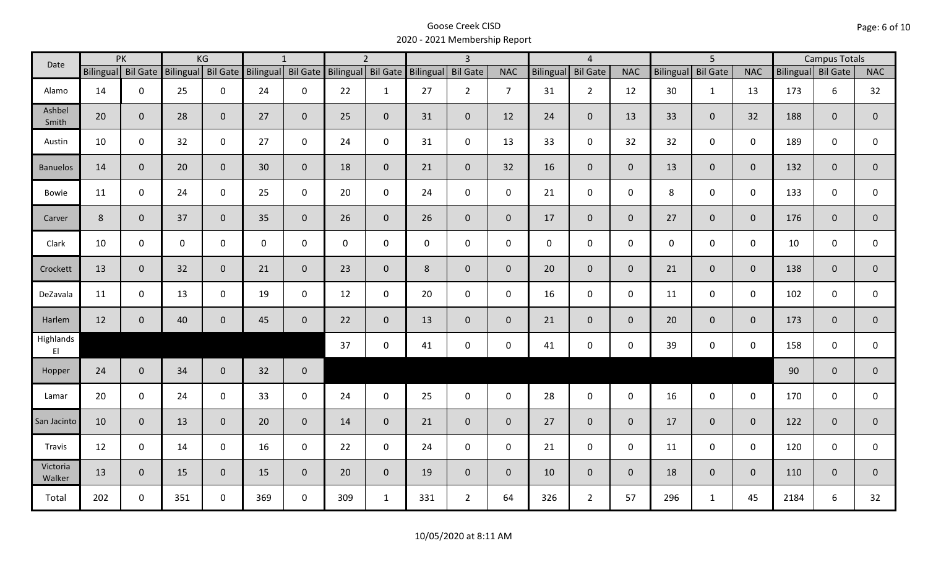| PK<br>Date         |                    | KG             |                    | $\mathbf{1}$   |                    |                | $\overline{2}$ |                                       | $\overline{3}$ |                | $\overline{4}$ |             |                     | $\overline{5}$ |                  |                 | <b>Campus Totals</b> |                    |              |                |
|--------------------|--------------------|----------------|--------------------|----------------|--------------------|----------------|----------------|---------------------------------------|----------------|----------------|----------------|-------------|---------------------|----------------|------------------|-----------------|----------------------|--------------------|--------------|----------------|
|                    | Bilingual Bil Gate |                | Bilingual Bil Gate |                | Bilingual Bil Gate |                |                | Bilingual Bil Gate Bilingual Bil Gate |                |                | <b>NAC</b>     | Bilingual   | <b>Bil Gate</b>     | <b>NAC</b>     | <b>Bilingual</b> | <b>Bil Gate</b> | <b>NAC</b>           | Bilingual Bil Gate |              | <b>NAC</b>     |
| Alamo              | 14                 | $\mathbf 0$    | 25                 | $\mathbf 0$    | 24                 | $\mathbf 0$    | 22             | $\mathbf{1}$                          | 27             | $\overline{2}$ | $\overline{7}$ | 31          | $\overline{2}$      | 12             | 30               | $\mathbf{1}$    | 13                   | 173                | 6            | 32             |
| Ashbel<br>Smith    | 20                 | $\mathbf 0$    | 28                 | $\mathbf 0$    | 27                 | $\mathbf 0$    | 25             | $\mathbf{0}$                          | 31             | $\mathbf{0}$   | 12             | 24          | $\overline{0}$      | 13             | 33               | $\overline{0}$  | 32                   | 188                | $\mathbf{0}$ | $\overline{0}$ |
| Austin             | 10                 | $\mathbf 0$    | 32                 | $\mathbf 0$    | 27                 | $\mathbf 0$    | 24             | $\mathbf 0$                           | 31             | 0              | 13             | 33          | $\mathbf 0$         | 32             | 32               | $\mathbf 0$     | $\mathbf 0$          | 189                | 0            | 0              |
| <b>Banuelos</b>    | 14                 | $\overline{0}$ | 20                 | $\overline{0}$ | 30                 | $\mathbf 0$    | 18             | $\overline{0}$                        | 21             | $\overline{0}$ | 32             | 16          | $\mathbf 0$         | $\overline{0}$ | 13               | $\overline{0}$  | $\mathbf{0}$         | 132                | $\mathbf{0}$ | $\mathbf{0}$   |
| <b>Bowie</b>       | 11                 | $\mathbf 0$    | 24                 | $\mathbf 0$    | 25                 | $\mathbf 0$    | 20             | $\mathbf 0$                           | 24             | $\mathsf{O}$   | $\mathbf 0$    | 21          | $\mathbf 0$         | $\mathbf 0$    | 8                | $\mathbf 0$     | $\mathbf 0$          | 133                | $\mathbf 0$  | 0              |
| Carver             | 8                  | $\mathbf 0$    | 37                 | $\mathbf 0$    | 35                 | $\overline{0}$ | 26             | $\overline{0}$                        | 26             | $\overline{0}$ | $\mathbf{0}$   | 17          | $\overline{0}$      | $\overline{0}$ | 27               | $\overline{0}$  | $\overline{0}$       | 176                | $\mathbf 0$  | $\mathbf 0$    |
| Clark              | 10                 | $\mathbf 0$    | $\mathbf 0$        | $\mathbf 0$    | $\mathbf 0$        | $\mathbf 0$    | 0              | $\mathbf 0$                           | $\mathsf{O}$   | $\mathbf 0$    | $\mathbf 0$    | $\mathbf 0$ | $\mathbf 0$         | $\mathbf 0$    | $\mathbf 0$      | $\mathbf 0$     | $\mathbf 0$          | 10                 | $\mathbf 0$  | $\mathsf{O}$   |
| Crockett           | 13                 | $\mathbf 0$    | 32                 | $\mathbf 0$    | 21                 | $\overline{0}$ | 23             | $\overline{0}$                        | 8              | $\mathbf 0$    | $\mathbf 0$    | 20          | $\overline{0}$      | $\overline{0}$ | 21               | $\mathbf{0}$    | $\overline{0}$       | 138                | $\mathbf 0$  | $\mathbf 0$    |
| DeZavala           | 11                 | $\mathbf 0$    | 13                 | $\mathbf 0$    | 19                 | $\mathbf 0$    | 12             | $\mathbf 0$                           | 20             | $\mathbf 0$    | $\mathbf 0$    | 16          | $\mathbf 0$         | $\mathbf 0$    | 11               | $\mathbf 0$     | $\mathbf 0$          | 102                | $\mathbf 0$  | 0              |
| Harlem             | 12                 | $\mathbf 0$    | 40                 | $\mathbf 0$    | 45                 | $\mathbf 0$    | 22             | $\overline{0}$                        | 13             | $\mathbf{0}$   | $\overline{0}$ | 21          | $\overline{0}$      | $\overline{0}$ | 20               | $\overline{0}$  | $\overline{0}$       | 173                | $\mathbf{0}$ | $\overline{0}$ |
| Highlands<br>E     |                    |                |                    |                |                    |                | 37             | $\mathbf 0$                           | 41             | 0              | 0              | 41          | $\mathsf{O}\xspace$ | $\mathsf{O}$   | 39               | $\mathbf 0$     | $\mathbf 0$          | 158                | 0            | 0              |
| Hopper             | 24                 | $\overline{0}$ | 34                 | $\overline{0}$ | 32                 | $\mathbf 0$    |                |                                       |                |                |                |             |                     |                |                  |                 |                      | 90                 | $\mathbf{0}$ | $\overline{0}$ |
| Lamar              | 20                 | $\mathbf 0$    | 24                 | $\mathbf 0$    | 33                 | $\mathbf 0$    | 24             | $\mathbf 0$                           | 25             | $\mathbf 0$    | $\mathbf 0$    | 28          | $\mathbf 0$         | $\mathbf 0$    | 16               | $\mathbf 0$     | $\mathbf 0$          | 170                | $\mathbf 0$  | 0              |
| San Jacinto        | 10                 | $\mathbf 0$    | 13                 | $\overline{0}$ | 20                 | $\mathbf 0$    | 14             | $\overline{0}$                        | 21             | $\mathbf{0}$   | $\mathbf{0}$   | 27          | $\overline{0}$      | $\overline{0}$ | 17               | $\overline{0}$  | $\overline{0}$       | 122                | $\mathbf{0}$ | $\mathbf{0}$   |
| Travis             | 12                 | $\mathbf 0$    | 14                 | $\mathbf 0$    | 16                 | $\mathbf 0$    | 22             | $\mathbf 0$                           | 24             | $\mathsf{O}$   | $\mathbf 0$    | 21          | $\mathbf 0$         | $\mathbf 0$    | 11               | $\mathbf{0}$    | $\mathbf 0$          | 120                | $\mathbf 0$  | 0              |
| Victoria<br>Walker | 13                 | $\mathbf 0$    | 15                 | $\overline{0}$ | 15                 | $\mathbf{0}$   | 20             | $\overline{0}$                        | 19             | $\overline{0}$ | $\mathbf 0$    | 10          | $\overline{0}$      | $\mathbf{0}$   | 18               | $\mathbf{0}$    | $\overline{0}$       | 110                | $\mathbf{0}$ | $\mathbf 0$    |
| Total              | 202                | $\mathbf 0$    | 351                | $\mathbf 0$    | 369                | $\mathbf 0$    | 309            | $\mathbf{1}$                          | 331            | $2^{\circ}$    | 64             | 326         | $\overline{2}$      | 57             | 296              | $\mathbf{1}$    | 45                   | 2184               | 6            | 32             |

Page: 6 of 10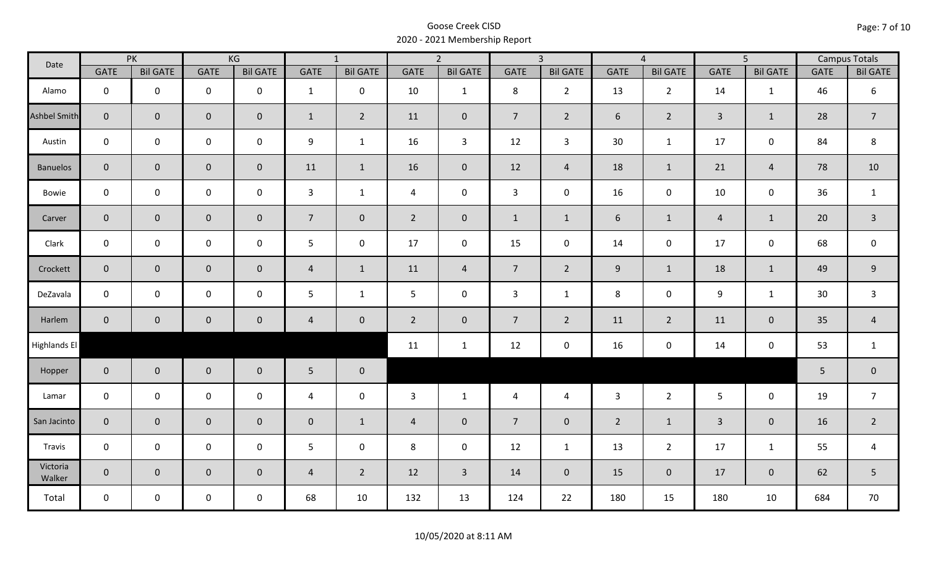| Date                |                | PK              |             | KG              |                | $\overline{1}$  |                | $\overline{2}$  |                 | $\overline{3}$  |                | $\overline{4}$  |                | $\overline{5}$  |             | <b>Campus Totals</b> |
|---------------------|----------------|-----------------|-------------|-----------------|----------------|-----------------|----------------|-----------------|-----------------|-----------------|----------------|-----------------|----------------|-----------------|-------------|----------------------|
|                     | <b>GATE</b>    | <b>Bil GATE</b> | <b>GATE</b> | <b>Bil GATE</b> | GATE           | <b>Bil GATE</b> | <b>GATE</b>    | <b>Bil GATE</b> | <b>GATE</b>     | <b>Bil GATE</b> | <b>GATE</b>    | <b>Bil GATE</b> | <b>GATE</b>    | <b>Bil GATE</b> | <b>GATE</b> | <b>Bil GATE</b>      |
| Alamo               | $\mathbf{0}$   | $\mathbf 0$     | $\pmb{0}$   | $\mathbf 0$     | $\mathbf{1}$   | $\mathbf 0$     | 10             | $\mathbf{1}$    | 8               | $2^{\circ}$     | 13             | $2^{\circ}$     | 14             | $\mathbf{1}$    | 46          | $\boldsymbol{6}$     |
| <b>Ashbel Smith</b> | $\mathbf{0}$   | $\overline{0}$  | $\pmb{0}$   | $\overline{0}$  | $\mathbf{1}$   | $\overline{2}$  | 11             | $\mathbf 0$     | $7\overline{ }$ | $2^{\circ}$     | 6              | $\overline{2}$  | $\overline{3}$ | $\mathbf{1}$    | 28          | $\overline{7}$       |
| Austin              | $\mathbf 0$    | $\mathbf 0$     | $\pmb{0}$   | $\mathbf 0$     | 9              | $\mathbf{1}$    | 16             | $\overline{3}$  | 12              | $\mathbf{3}$    | 30             | $\mathbf{1}$    | 17             | $\mathsf{O}$    | 84          | 8                    |
| <b>Banuelos</b>     | $\overline{0}$ | $\mathbf 0$     | $\pmb{0}$   | $\mathbf 0$     | 11             | $\mathbf{1}$    | 16             | $\mathbf 0$     | 12              | $\overline{4}$  | 18             | $\mathbf{1}$    | 21             | $\overline{4}$  | 78          | 10                   |
| Bowie               | $\mathbf 0$    | $\mathbf 0$     | $\mathbf 0$ | $\mathsf{O}$    | $\mathbf{3}$   | $\mathbf{1}$    | 4              | $\mathbf 0$     | $\mathbf{3}$    | $\mathbf 0$     | 16             | $\mathbf 0$     | 10             | $\mathbf 0$     | 36          | $\mathbf{1}$         |
| Carver              | $\overline{0}$ | $\overline{0}$  | $\pmb{0}$   | $\pmb{0}$       | $\overline{7}$ | $\mathbf 0$     | $2^{\circ}$    | $\pmb{0}$       | $\mathbf{1}$    | $\mathbf{1}$    | $\sqrt{6}$     | $\mathbf{1}$    | $\overline{4}$ | $\mathbf{1}$    | 20          | $\overline{3}$       |
| Clark               | $\mathbf 0$    | $\mathbf 0$     | $\mathbf 0$ | 0               | $5\phantom{.}$ | $\mathbf 0$     | 17             | $\mathbf 0$     | 15              | $\mathbf 0$     | 14             | $\mathbf 0$     | 17             | $\mathbf 0$     | 68          | $\mathsf 0$          |
| Crockett            | $\overline{0}$ | $\mathbf 0$     | $\pmb{0}$   | $\mathbf{0}$    | $\overline{4}$ | $\mathbf{1}$    | 11             | 4               | $7\overline{ }$ | $2^{\circ}$     | 9              | $\mathbf{1}$    | 18             | $\mathbf{1}$    | 49          | $9\,$                |
| DeZavala            | $\mathbf 0$    | $\mathbf 0$     | $\pmb{0}$   | $\mathbf 0$     | 5              | $\mathbf{1}$    | $5\phantom{.}$ | $\mathbf 0$     | $\mathbf{3}$    | $\mathbf{1}$    | 8              | $\mathbf 0$     | 9              | $\mathbf{1}$    | 30          | $\overline{3}$       |
| Harlem              | $\overline{0}$ | $\overline{0}$  | $\mathbf 0$ | $\mathbf{0}$    | $\overline{4}$ | $\overline{0}$  | $\overline{2}$ | $\mathbf 0$     | $7\overline{ }$ | $\overline{2}$  | 11             | $\overline{2}$  | 11             | $\mathbf 0$     | 35          | $\overline{4}$       |
| Highlands El        |                |                 |             |                 |                |                 | 11             | $\mathbf{1}$    | 12              | $\mathbf 0$     | 16             | $\pmb{0}$       | 14             | $\mathbf 0$     | 53          | $\mathbf{1}$         |
| Hopper              | $\overline{0}$ | $\overline{0}$  | $\pmb{0}$   | $\mathbf 0$     | 5 <sub>1</sub> | $\mathbf 0$     |                |                 |                 |                 |                |                 |                |                 | 5           | $\pmb{0}$            |
| Lamar               | $\mathbf 0$    | $\mathbf 0$     | $\mathbf 0$ | $\mathbf 0$     | $\overline{4}$ | $\mathbf 0$     | $\overline{3}$ | $\mathbf{1}$    | $\overline{4}$  | $\overline{4}$  | $\overline{3}$ | 2 <sup>1</sup>  | 5              | $\mathbf 0$     | 19          | $\overline{7}$       |
| San Jacinto         | $\mathbf 0$    | $\overline{0}$  | $\pmb{0}$   | $\mathbf 0$     | $\mathbf 0$    | $\mathbf{1}$    | $\overline{4}$ | $\mathbf 0$     | $\overline{7}$  | $\overline{0}$  | $\overline{2}$ | $\mathbf{1}$    | $\overline{3}$ | $\overline{0}$  | 16          | $\overline{2}$       |
| Travis              | $\mathbf 0$    | $\mathbf 0$     | $\pmb{0}$   | $\mathsf{O}$    | $5\phantom{.}$ | $\mathbf 0$     | 8              | $\mathbf 0$     | 12              | $\mathbf{1}$    | 13             | $\overline{2}$  | 17             | $\mathbf{1}$    | 55          | $\overline{4}$       |
| Victoria<br>Walker  | $\overline{0}$ | $\mathbf 0$     | $\mathbf 0$ | $\mathbf 0$     | $\overline{4}$ | $\overline{2}$  | 12             | $\overline{3}$  | 14              | $\overline{0}$  | 15             | $\mathbf 0$     | 17             | $\mathbf{0}$    | 62          | $5\phantom{.0}$      |
| Total               | $\mathbf 0$    | $\mathbf 0$     | $\mathbf 0$ | $\mathbf{0}$    | 68             | 10              | 132            | 13              | 124             | 22              | 180            | 15              | 180            | 10              | 684         | 70                   |

10/05/2020 at 8:11 AM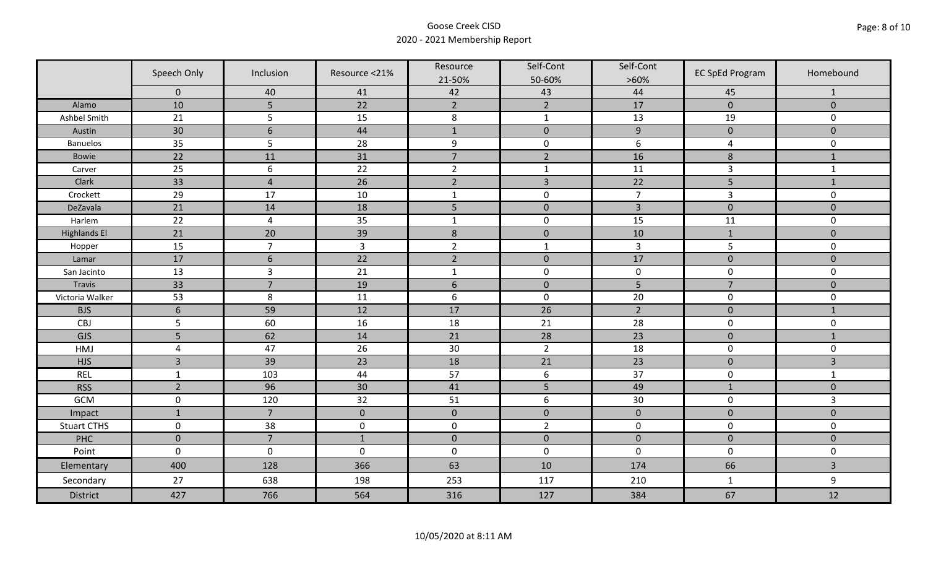|                     | Speech Only      | Inclusion      | Resource <21%       | Resource         | Self-Cont        | Self-Cont        | <b>EC SpEd Program</b> | Homebound           |
|---------------------|------------------|----------------|---------------------|------------------|------------------|------------------|------------------------|---------------------|
|                     |                  |                |                     | 21-50%           | 50-60%           | $>60\%$          |                        |                     |
|                     | $\mathbf 0$      | 40             | 41                  | 42               | 43               | 44               | 45                     | $\mathbf{1}$        |
| Alamo               | 10               | 5              | 22                  | $\overline{2}$   | $\overline{2}$   | 17               | $\mathbf 0$            | $\mathbf 0$         |
| Ashbel Smith        | 21               | 5              | 15                  | $\,8\,$          | $\mathbf{1}$     | 13               | 19                     | 0                   |
| Austin              | 30               | $6\,$          | 44                  | $\mathbf{1}$     | $\pmb{0}$        | $\boldsymbol{9}$ | $\pmb{0}$              | $\mathbf{0}$        |
| <b>Banuelos</b>     | 35               | 5              | 28                  | $\boldsymbol{9}$ | $\pmb{0}$        | $\boldsymbol{6}$ | 4                      | $\mathsf{O}\xspace$ |
| Bowie               | 22               | 11             | 31                  | $\overline{7}$   | $\overline{2}$   | 16               | $\bf 8$                | $\mathbf{1}$        |
| Carver              | 25               | 6              | 22                  | $\overline{2}$   | $\mathbf{1}$     | 11               | $\overline{3}$         | $\mathbf 1$         |
| Clark               | 33               | $\overline{4}$ | 26                  | $\overline{2}$   | $\overline{3}$   | 22               | 5                      | $\mathbf 1$         |
| Crockett            | 29               | 17             | 10                  | $\mathbf{1}$     | $\pmb{0}$        | $\overline{7}$   | $\overline{3}$         | $\mathbf 0$         |
| DeZavala            | 21               | 14             | 18                  | 5                | $\pmb{0}$        | $\overline{3}$   | $\pmb{0}$              | $\mathbf 0$         |
| Harlem              | 22               | $\overline{4}$ | 35                  | $\mathbf{1}$     | $\pmb{0}$        | 15               | 11                     | $\mathbf 0$         |
| <b>Highlands El</b> | 21               | 20             | 39                  | $\,$ 8 $\,$      | $\pmb{0}$        | 10               | $1\,$                  | $\mathbf{0}$        |
| Hopper              | 15               | $\overline{7}$ | $\overline{3}$      | $\overline{2}$   | $\mathbf{1}$     | $\overline{3}$   | 5                      | 0                   |
| Lamar               | 17               | 6              | 22                  | $\overline{2}$   | $\mathbf 0$      | 17               | $\mathbf 0$            | $\mathbf{0}$        |
| San Jacinto         | 13               | $\overline{3}$ | 21                  | $\mathbf{1}$     | $\pmb{0}$        | $\pmb{0}$        | $\pmb{0}$              | 0                   |
| Travis              | 33               | $\overline{7}$ | 19                  | $\sqrt{6}$       | $\pmb{0}$        | 5                | $\overline{7}$         | $\mathbf 0$         |
| Victoria Walker     | 53               | $\,8\,$        | 11                  | $\boldsymbol{6}$ | $\pmb{0}$        | 20               | $\pmb{0}$              | $\mathbf 0$         |
| <b>BJS</b>          | $\boldsymbol{6}$ | 59             | 12                  | 17               | 26               | $\overline{2}$   | $\pmb{0}$              | $\mathbf{1}$        |
| CBJ                 | 5                | 60             | 16                  | 18               | 21               | 28               | $\pmb{0}$              | 0                   |
| <b>GJS</b>          | 5                | 62             | 14                  | 21               | 28               | 23               | $\mathbf 0$            | $\mathbf{1}$        |
| HMJ                 | $\overline{a}$   | 47             | 26                  | 30               | $\overline{2}$   | 18               | $\pmb{0}$              | 0                   |
| <b>HJS</b>          | $\overline{3}$   | 39             | 23                  | 18               | 21               | 23               | $\pmb{0}$              | 3                   |
| <b>REL</b>          | $\mathbf 1$      | 103            | 44                  | 57               | $\boldsymbol{6}$ | 37               | $\pmb{0}$              | $\mathbf{1}$        |
| <b>RSS</b>          | $\overline{2}$   | 96             | 30                  | 41               | 5                | 49               | $\mathbf{1}$           | $\mathbf 0$         |
| <b>GCM</b>          | $\mathsf 0$      | 120            | 32                  | 51               | $\boldsymbol{6}$ | 30               | $\pmb{0}$              | 3                   |
| Impact              | $\mathbf{1}$     | $\overline{7}$ | $\mathbf 0$         | $\pmb{0}$        | $\pmb{0}$        | $\pmb{0}$        | $\mathbf 0$            | $\mathbf 0$         |
| <b>Stuart CTHS</b>  | $\mathsf 0$      | 38             | $\mathsf{O}\xspace$ | $\pmb{0}$        | $\overline{2}$   | $\pmb{0}$        | $\pmb{0}$              | 0                   |
| PHC                 | $\mathbf 0$      | $\overline{7}$ | $1\,$               | $\mathbf 0$      | $\pmb{0}$        | $\pmb{0}$        | $\pmb{0}$              | $\mathbf 0$         |
| Point               | $\mathsf 0$      | $\pmb{0}$      | $\pmb{0}$           | $\pmb{0}$        | $\pmb{0}$        | $\pmb{0}$        | $\pmb{0}$              | 0                   |
| Elementary          | 400              | 128            | 366                 | 63               | $10\,$           | 174              | 66                     | $\overline{3}$      |
| Secondary           | 27               | 638            | 198                 | 253              | 117              | 210              | $\mathbf{1}$           | 9                   |
| District            | 427              | 766            | 564                 | 316              | 127              | 384              | 67                     | 12                  |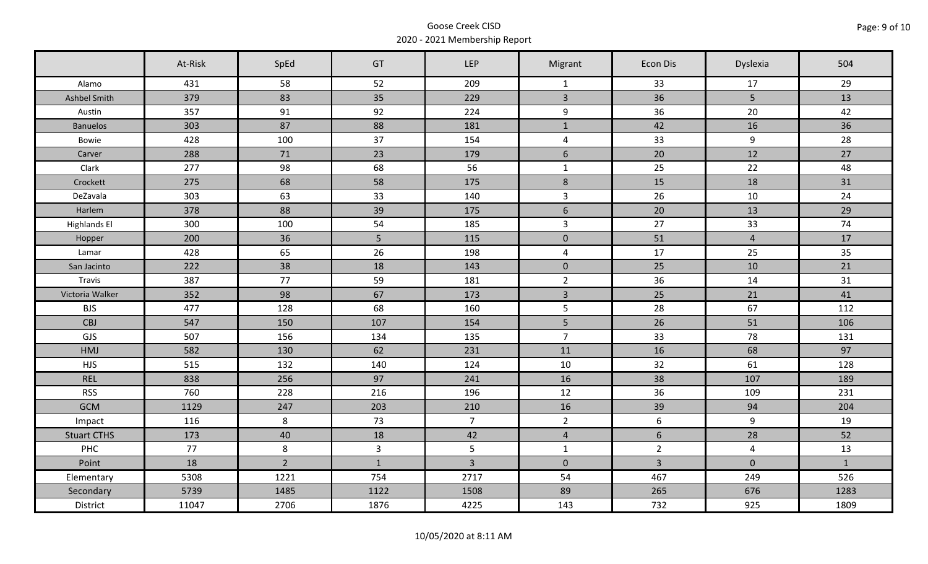|                     | At-Risk | SpEd           | GT             | <b>LEP</b>     | Migrant        | Econ Dis       | Dyslexia        | 504          |
|---------------------|---------|----------------|----------------|----------------|----------------|----------------|-----------------|--------------|
| Alamo               | 431     | 58             | 52             | 209            | $\mathbf{1}$   | 33             | 17              | 29           |
| Ashbel Smith        | 379     | 83             | 35             | 229            | $\overline{3}$ | 36             | $5\overline{)}$ | 13           |
| Austin              | 357     | 91             | 92             | 224            | 9              | 36             | 20              | 42           |
| <b>Banuelos</b>     | 303     | 87             | 88             | 181            | $\mathbf{1}$   | 42             | 16              | 36           |
| Bowie               | 428     | 100            | 37             | 154            | $\overline{4}$ | 33             | 9               | 28           |
| Carver              | 288     | 71             | 23             | 179            | $6\,$          | 20             | 12              | 27           |
| Clark               | 277     | 98             | 68             | 56             | $\mathbf{1}$   | 25             | 22              | 48           |
| Crockett            | 275     | 68             | 58             | 175            | $\,8\,$        | 15             | 18              | 31           |
| DeZavala            | 303     | 63             | 33             | 140            | $\overline{3}$ | 26             | 10              | 24           |
| Harlem              | 378     | 88             | 39             | 175            | $6\,$          | 20             | 13              | 29           |
| <b>Highlands El</b> | 300     | 100            | 54             | 185            | $\mathbf{3}$   | 27             | 33              | 74           |
| Hopper              | 200     | 36             | 5              | 115            | $\mathbf{0}$   | 51             | $\overline{4}$  | 17           |
| Lamar               | 428     | 65             | 26             | 198            | $\overline{4}$ | 17             | 25              | 35           |
| San Jacinto         | 222     | 38             | 18             | 143            | $\mathbf{0}$   | 25             | 10              | 21           |
| Travis              | 387     | 77             | 59             | 181            | $2^{\circ}$    | 36             | 14              | 31           |
| Victoria Walker     | 352     | 98             | 67             | 173            | $\overline{3}$ | 25             | 21              | 41           |
| <b>BJS</b>          | 477     | 128            | 68             | 160            | 5              | 28             | 67              | 112          |
| CBJ                 | 547     | 150            | 107            | 154            | 5              | 26             | 51              | 106          |
| GJS                 | 507     | 156            | 134            | 135            | $\overline{7}$ | 33             | 78              | 131          |
| HMJ                 | 582     | 130            | 62             | 231            | 11             | 16             | 68              | 97           |
| <b>HJS</b>          | 515     | 132            | 140            | 124            | 10             | 32             | 61              | 128          |
| <b>REL</b>          | 838     | 256            | 97             | 241            | 16             | 38             | 107             | 189          |
| <b>RSS</b>          | 760     | 228            | 216            | 196            | 12             | 36             | 109             | 231          |
| <b>GCM</b>          | 1129    | 247            | 203            | 210            | 16             | 39             | 94              | 204          |
| Impact              | 116     | 8              | 73             | 7 <sup>7</sup> | $2^{\circ}$    | 6              | 9               | 19           |
| <b>Stuart CTHS</b>  | 173     | 40             | 18             | 42             | $\overline{4}$ | $6\phantom{.}$ | 28              | 52           |
| <b>PHC</b>          | 77      | 8              | $\overline{3}$ | $5\phantom{.}$ | $\mathbf{1}$   | $\overline{2}$ | $\overline{4}$  | 13           |
| Point               | 18      | $\overline{2}$ | $\mathbf{1}$   | $\overline{3}$ | $\overline{0}$ | $\overline{3}$ | $\mathbf{0}$    | $\mathbf{1}$ |
| Elementary          | 5308    | 1221           | 754            | 2717           | 54             | 467            | 249             | 526          |
| Secondary           | 5739    | 1485           | 1122           | 1508           | 89             | 265            | 676             | 1283         |
| District            | 11047   | 2706           | 1876           | 4225           | 143            | 732            | 925             | 1809         |